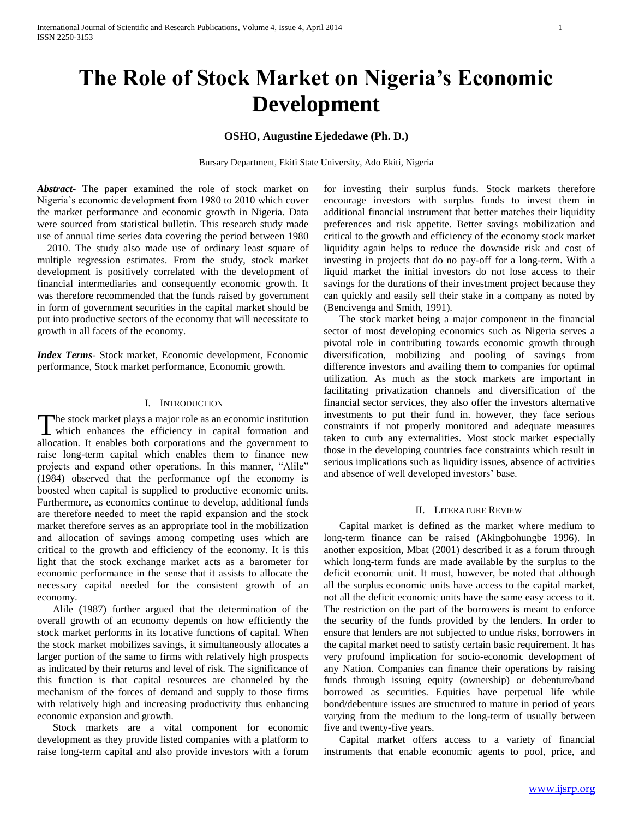# **The Role of Stock Market on Nigeria's Economic Development**

# **OSHO, Augustine Ejededawe (Ph. D.)**

Bursary Department, Ekiti State University, Ado Ekiti, Nigeria

*Abstract***-** The paper examined the role of stock market on Nigeria's economic development from 1980 to 2010 which cover the market performance and economic growth in Nigeria. Data were sourced from statistical bulletin. This research study made use of annual time series data covering the period between 1980 – 2010. The study also made use of ordinary least square of multiple regression estimates. From the study, stock market development is positively correlated with the development of financial intermediaries and consequently economic growth. It was therefore recommended that the funds raised by government in form of government securities in the capital market should be put into productive sectors of the economy that will necessitate to growth in all facets of the economy.

*Index Terms*- Stock market, Economic development, Economic performance, Stock market performance, Economic growth.

# I. INTRODUCTION

The stock market plays a major role as an economic institution The stock market plays a major role as an economic institution<br>which enhances the efficiency in capital formation and allocation. It enables both corporations and the government to raise long-term capital which enables them to finance new projects and expand other operations. In this manner, "Alile" (1984) observed that the performance opf the economy is boosted when capital is supplied to productive economic units. Furthermore, as economics continue to develop, additional funds are therefore needed to meet the rapid expansion and the stock market therefore serves as an appropriate tool in the mobilization and allocation of savings among competing uses which are critical to the growth and efficiency of the economy. It is this light that the stock exchange market acts as a barometer for economic performance in the sense that it assists to allocate the necessary capital needed for the consistent growth of an economy.

 Alile (1987) further argued that the determination of the overall growth of an economy depends on how efficiently the stock market performs in its locative functions of capital. When the stock market mobilizes savings, it simultaneously allocates a larger portion of the same to firms with relatively high prospects as indicated by their returns and level of risk. The significance of this function is that capital resources are channeled by the mechanism of the forces of demand and supply to those firms with relatively high and increasing productivity thus enhancing economic expansion and growth.

 Stock markets are a vital component for economic development as they provide listed companies with a platform to raise long-term capital and also provide investors with a forum for investing their surplus funds. Stock markets therefore encourage investors with surplus funds to invest them in additional financial instrument that better matches their liquidity preferences and risk appetite. Better savings mobilization and critical to the growth and efficiency of the economy stock market liquidity again helps to reduce the downside risk and cost of investing in projects that do no pay-off for a long-term. With a liquid market the initial investors do not lose access to their savings for the durations of their investment project because they can quickly and easily sell their stake in a company as noted by (Bencivenga and Smith, 1991).

 The stock market being a major component in the financial sector of most developing economics such as Nigeria serves a pivotal role in contributing towards economic growth through diversification, mobilizing and pooling of savings from difference investors and availing them to companies for optimal utilization. As much as the stock markets are important in facilitating privatization channels and diversification of the financial sector services, they also offer the investors alternative investments to put their fund in. however, they face serious constraints if not properly monitored and adequate measures taken to curb any externalities. Most stock market especially those in the developing countries face constraints which result in serious implications such as liquidity issues, absence of activities and absence of well developed investors' base.

## II. LITERATURE REVIEW

 Capital market is defined as the market where medium to long-term finance can be raised (Akingbohungbe 1996). In another exposition, Mbat (2001) described it as a forum through which long-term funds are made available by the surplus to the deficit economic unit. It must, however, be noted that although all the surplus economic units have access to the capital market, not all the deficit economic units have the same easy access to it. The restriction on the part of the borrowers is meant to enforce the security of the funds provided by the lenders. In order to ensure that lenders are not subjected to undue risks, borrowers in the capital market need to satisfy certain basic requirement. It has very profound implication for socio-economic development of any Nation. Companies can finance their operations by raising funds through issuing equity (ownership) or debenture/band borrowed as securities. Equities have perpetual life while bond/debenture issues are structured to mature in period of years varying from the medium to the long-term of usually between five and twenty-five years.

 Capital market offers access to a variety of financial instruments that enable economic agents to pool, price, and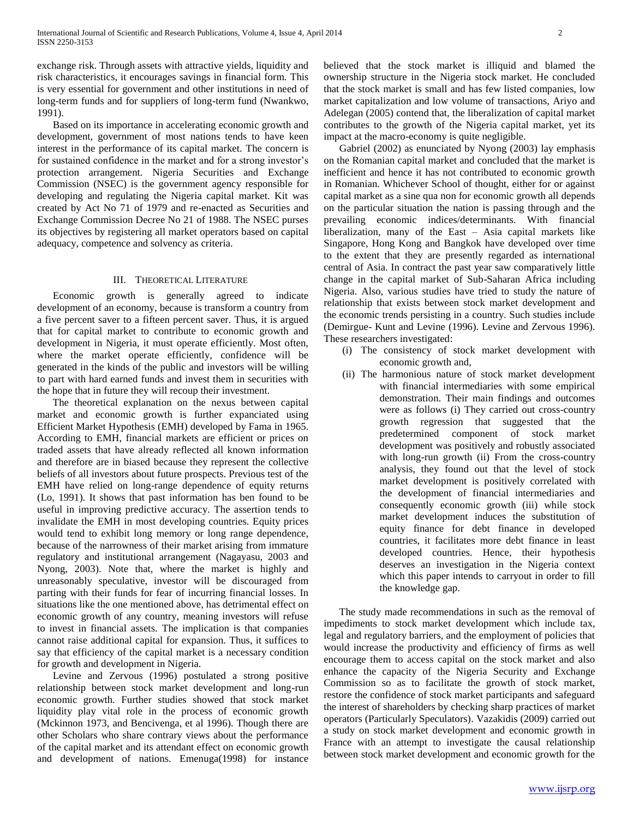exchange risk. Through assets with attractive yields, liquidity and risk characteristics, it encourages savings in financial form. This is very essential for government and other institutions in need of long-term funds and for suppliers of long-term fund (Nwankwo, 1991).

 Based on its importance in accelerating economic growth and development, government of most nations tends to have keen interest in the performance of its capital market. The concern is for sustained confidence in the market and for a strong investor's protection arrangement. Nigeria Securities and Exchange Commission (NSEC) is the government agency responsible for developing and regulating the Nigeria capital market. Kit was created by Act No 71 of 1979 and re-enacted as Securities and Exchange Commission Decree No 21 of 1988. The NSEC purses its objectives by registering all market operators based on capital adequacy, competence and solvency as criteria.

# III. THEORETICAL LITERATURE

 Economic growth is generally agreed to indicate development of an economy, because is transform a country from a five percent saver to a fifteen percent saver. Thus, it is argued that for capital market to contribute to economic growth and development in Nigeria, it must operate efficiently. Most often, where the market operate efficiently, confidence will be generated in the kinds of the public and investors will be willing to part with hard earned funds and invest them in securities with the hope that in future they will recoup their investment.

 The theoretical explanation on the nexus between capital market and economic growth is further expanciated using Efficient Market Hypothesis (EMH) developed by Fama in 1965. According to EMH, financial markets are efficient or prices on traded assets that have already reflected all known information and therefore are in biased because they represent the collective beliefs of all investors about future prospects. Previous test of the EMH have relied on long-range dependence of equity returns (Lo, 1991). It shows that past information has ben found to be useful in improving predictive accuracy. The assertion tends to invalidate the EMH in most developing countries. Equity prices would tend to exhibit long memory or long range dependence, because of the narrowness of their market arising from immature regulatory and institutional arrangement (Nagayasu, 2003 and Nyong, 2003). Note that, where the market is highly and unreasonably speculative, investor will be discouraged from parting with their funds for fear of incurring financial losses. In situations like the one mentioned above, has detrimental effect on economic growth of any country, meaning investors will refuse to invest in financial assets. The implication is that companies cannot raise additional capital for expansion. Thus, it suffices to say that efficiency of the capital market is a necessary condition for growth and development in Nigeria.

 Levine and Zervous (1996) postulated a strong positive relationship between stock market development and long-run economic growth. Further studies showed that stock market liquidity play vital role in the process of economic growth (Mckinnon 1973, and Bencivenga, et al 1996). Though there are other Scholars who share contrary views about the performance of the capital market and its attendant effect on economic growth and development of nations. Emenuga(1998) for instance

believed that the stock market is illiquid and blamed the ownership structure in the Nigeria stock market. He concluded that the stock market is small and has few listed companies, low market capitalization and low volume of transactions, Ariyo and Adelegan (2005) contend that, the liberalization of capital market contributes to the growth of the Nigeria capital market, yet its impact at the macro-economy is quite negligible.

 Gabriel (2002) as enunciated by Nyong (2003) lay emphasis on the Romanian capital market and concluded that the market is inefficient and hence it has not contributed to economic growth in Romanian. Whichever School of thought, either for or against capital market as a sine qua non for economic growth all depends on the particular situation the nation is passing through and the prevailing economic indices/determinants. With financial liberalization, many of the East – Asia capital markets like Singapore, Hong Kong and Bangkok have developed over time to the extent that they are presently regarded as international central of Asia. In contract the past year saw comparatively little change in the capital market of Sub-Saharan Africa including Nigeria. Also, various studies have tried to study the nature of relationship that exists between stock market development and the economic trends persisting in a country. Such studies include (Demirgue- Kunt and Levine (1996). Levine and Zervous 1996). These researchers investigated:

- (i) The consistency of stock market development with economic growth and,
- (ii) The harmonious nature of stock market development with financial intermediaries with some empirical demonstration. Their main findings and outcomes were as follows (i) They carried out cross-country growth regression that suggested that the predetermined component of stock market development was positively and robustly associated with long-run growth (ii) From the cross-country analysis, they found out that the level of stock market development is positively correlated with the development of financial intermediaries and consequently economic growth (iii) while stock market development induces the substitution of equity finance for debt finance in developed countries, it facilitates more debt finance in least developed countries. Hence, their hypothesis deserves an investigation in the Nigeria context which this paper intends to carryout in order to fill the knowledge gap.

 The study made recommendations in such as the removal of impediments to stock market development which include tax, legal and regulatory barriers, and the employment of policies that would increase the productivity and efficiency of firms as well encourage them to access capital on the stock market and also enhance the capacity of the Nigeria Security and Exchange Commission so as to facilitate the growth of stock market, restore the confidence of stock market participants and safeguard the interest of shareholders by checking sharp practices of market operators (Particularly Speculators). Vazakidis (2009) carried out a study on stock market development and economic growth in France with an attempt to investigate the causal relationship between stock market development and economic growth for the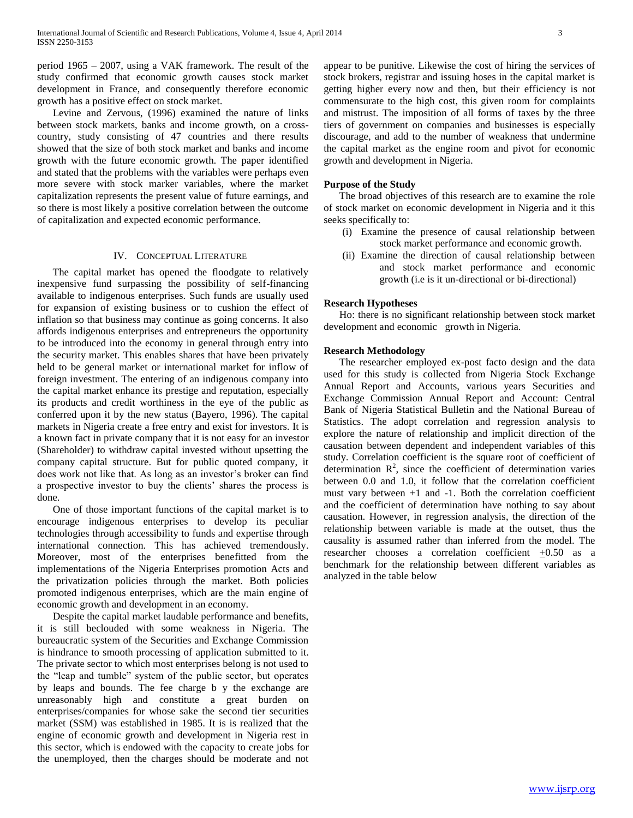period 1965 – 2007, using a VAK framework. The result of the study confirmed that economic growth causes stock market development in France, and consequently therefore economic growth has a positive effect on stock market.

 Levine and Zervous, (1996) examined the nature of links between stock markets, banks and income growth, on a crosscountry, study consisting of 47 countries and there results showed that the size of both stock market and banks and income growth with the future economic growth. The paper identified and stated that the problems with the variables were perhaps even more severe with stock marker variables, where the market capitalization represents the present value of future earnings, and so there is most likely a positive correlation between the outcome of capitalization and expected economic performance.

# IV. CONCEPTUAL LITERATURE

 The capital market has opened the floodgate to relatively inexpensive fund surpassing the possibility of self-financing available to indigenous enterprises. Such funds are usually used for expansion of existing business or to cushion the effect of inflation so that business may continue as going concerns. It also affords indigenous enterprises and entrepreneurs the opportunity to be introduced into the economy in general through entry into the security market. This enables shares that have been privately held to be general market or international market for inflow of foreign investment. The entering of an indigenous company into the capital market enhance its prestige and reputation, especially its products and credit worthiness in the eye of the public as conferred upon it by the new status (Bayero, 1996). The capital markets in Nigeria create a free entry and exist for investors. It is a known fact in private company that it is not easy for an investor (Shareholder) to withdraw capital invested without upsetting the company capital structure. But for public quoted company, it does work not like that. As long as an investor's broker can find a prospective investor to buy the clients' shares the process is done.

 One of those important functions of the capital market is to encourage indigenous enterprises to develop its peculiar technologies through accessibility to funds and expertise through international connection. This has achieved tremendously. Moreover, most of the enterprises benefitted from the implementations of the Nigeria Enterprises promotion Acts and the privatization policies through the market. Both policies promoted indigenous enterprises, which are the main engine of economic growth and development in an economy.

 Despite the capital market laudable performance and benefits, it is still beclouded with some weakness in Nigeria. The bureaucratic system of the Securities and Exchange Commission is hindrance to smooth processing of application submitted to it. The private sector to which most enterprises belong is not used to the "leap and tumble" system of the public sector, but operates by leaps and bounds. The fee charge b y the exchange are unreasonably high and constitute a great burden on enterprises/companies for whose sake the second tier securities market (SSM) was established in 1985. It is is realized that the engine of economic growth and development in Nigeria rest in this sector, which is endowed with the capacity to create jobs for the unemployed, then the charges should be moderate and not appear to be punitive. Likewise the cost of hiring the services of stock brokers, registrar and issuing hoses in the capital market is getting higher every now and then, but their efficiency is not commensurate to the high cost, this given room for complaints and mistrust. The imposition of all forms of taxes by the three tiers of government on companies and businesses is especially discourage, and add to the number of weakness that undermine the capital market as the engine room and pivot for economic growth and development in Nigeria.

# **Purpose of the Study**

 The broad objectives of this research are to examine the role of stock market on economic development in Nigeria and it this seeks specifically to:

- (i) Examine the presence of causal relationship between stock market performance and economic growth.
- (ii) Examine the direction of causal relationship between and stock market performance and economic growth (i.e is it un-directional or bi-directional)

### **Research Hypotheses**

 Ho: there is no significant relationship between stock market development and economic growth in Nigeria.

# **Research Methodology**

 The researcher employed ex-post facto design and the data used for this study is collected from Nigeria Stock Exchange Annual Report and Accounts, various years Securities and Exchange Commission Annual Report and Account: Central Bank of Nigeria Statistical Bulletin and the National Bureau of Statistics. The adopt correlation and regression analysis to explore the nature of relationship and implicit direction of the causation between dependent and independent variables of this study. Correlation coefficient is the square root of coefficient of determination  $\mathbb{R}^2$ , since the coefficient of determination varies between 0.0 and 1.0, it follow that the correlation coefficient must vary between  $+1$  and  $-1$ . Both the correlation coefficient and the coefficient of determination have nothing to say about causation. However, in regression analysis, the direction of the relationship between variable is made at the outset, thus the causality is assumed rather than inferred from the model. The researcher chooses a correlation coefficient +0.50 as a benchmark for the relationship between different variables as analyzed in the table below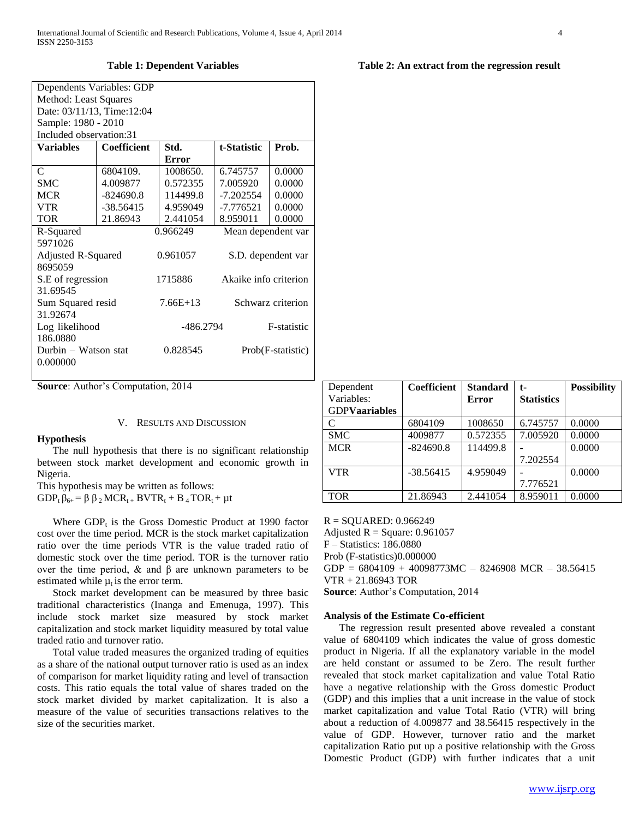### **Table 1: Dependent Variables**

| Dependents Variables: GDP<br>Method: Least Squares<br>Date: 03/11/13, Time: 12:04 |                    |              |                       |        |  |  |  |
|-----------------------------------------------------------------------------------|--------------------|--------------|-----------------------|--------|--|--|--|
| Sample: 1980 - 2010                                                               |                    |              |                       |        |  |  |  |
| Included observation:31                                                           |                    |              |                       |        |  |  |  |
| <b>Variables</b>                                                                  | <b>Coefficient</b> | Std.         | t-Statistic           | Prob.  |  |  |  |
|                                                                                   |                    | <b>Error</b> |                       |        |  |  |  |
| C                                                                                 | 6804109.           | 1008650.     | 6.745757              | 0.0000 |  |  |  |
| <b>SMC</b>                                                                        | 4.009877           | 0.572355     | 7.005920              | 0.0000 |  |  |  |
| <b>MCR</b>                                                                        | $-824690.8$        | 114499.8     | $-7.202554$           | 0.0000 |  |  |  |
| <b>VTR</b>                                                                        | $-38.56415$        | 4.959049     | $-7.776521$           | 0.0000 |  |  |  |
| <b>TOR</b>                                                                        | 21.86943           | 2.441054     | 8.959011              | 0.0000 |  |  |  |
| R-Squared                                                                         |                    | 0.966249     | Mean dependent var    |        |  |  |  |
| 5971026                                                                           |                    |              |                       |        |  |  |  |
| Adjusted R-Squared                                                                |                    | 0.961057     | S.D. dependent var    |        |  |  |  |
| 8695059                                                                           |                    |              |                       |        |  |  |  |
| S.E of regression                                                                 |                    | 1715886      | Akaike info criterion |        |  |  |  |
| 31.69545                                                                          |                    |              |                       |        |  |  |  |
| Sum Squared resid                                                                 |                    | $7.66E+13$   | Schwarz criterion     |        |  |  |  |
| 31.92674                                                                          |                    |              |                       |        |  |  |  |
| Log likelihood                                                                    |                    | -486.2794    | F-statistic           |        |  |  |  |
| 186.0880                                                                          |                    |              |                       |        |  |  |  |
| Durbin - Watson stat                                                              |                    | 0.828545     | Prob(F-statistic)     |        |  |  |  |
| 0.000000                                                                          |                    |              |                       |        |  |  |  |
|                                                                                   |                    |              |                       |        |  |  |  |

**Source**: Author's Computation, 2014

# V. RESULTS AND DISCUSSION

### **Hypothesis**

 The null hypothesis that there is no significant relationship between stock market development and economic growth in Nigeria.

This hypothesis may be written as follows:

 $GDP_t \beta_{6+} = \beta \beta_2 MCR_{t+} BVTR_t + B_4 TOR_t + \mu t$ 

Where  $GDP_t$  is the Gross Domestic Product at 1990 factor cost over the time period. MCR is the stock market capitalization ratio over the time periods VTR is the value traded ratio of domestic stock over the time period. TOR is the turnover ratio over the time period, & and β are unknown parameters to be estimated while  $\mu_t$  is the error term.

 Stock market development can be measured by three basic traditional characteristics (Inanga and Emenuga, 1997). This include stock market size measured by stock market capitalization and stock market liquidity measured by total value traded ratio and turnover ratio.

 Total value traded measures the organized trading of equities as a share of the national output turnover ratio is used as an index of comparison for market liquidity rating and level of transaction costs. This ratio equals the total value of shares traded on the stock market divided by market capitalization. It is also a measure of the value of securities transactions relatives to the size of the securities market.

| Dependent            | Coefficient | <b>Standard</b> | t-                | <b>Possibility</b> |
|----------------------|-------------|-----------------|-------------------|--------------------|
| Variables:           |             | <b>Error</b>    | <b>Statistics</b> |                    |
| <b>GDPVaariables</b> |             |                 |                   |                    |
| C                    | 6804109     | 1008650         | 6.745757          | 0.0000             |
| <b>SMC</b>           | 4009877     | 0.572355        | 7.005920          | 0.0000             |
| <b>MCR</b>           | $-824690.8$ | 114499.8        |                   | 0.0000             |
|                      |             |                 | 7.202554          |                    |
| <b>VTR</b>           | $-38.56415$ | 4.959049        |                   | 0.0000             |
|                      |             |                 | 7.776521          |                    |
| <b>TOR</b>           | 21.86943    | 2.441054        | 8.959011          | 0.0000             |

**Table 2: An extract from the regression result**

R = SQUARED: 0.966249

Adjusted  $R = Square: 0.961057$ F – Statistics: 186.0880 Prob (F-statistics)0.000000 GDP = 6804109 + 40098773MC – 8246908 MCR – 38.56415 VTR + 21.86943 TOR

**Source**: Author's Computation, 2014

# **Analysis of the Estimate Co-efficient**

 The regression result presented above revealed a constant value of 6804109 which indicates the value of gross domestic product in Nigeria. If all the explanatory variable in the model are held constant or assumed to be Zero. The result further revealed that stock market capitalization and value Total Ratio have a negative relationship with the Gross domestic Product (GDP) and this implies that a unit increase in the value of stock market capitalization and value Total Ratio (VTR) will bring about a reduction of 4.009877 and 38.56415 respectively in the value of GDP. However, turnover ratio and the market capitalization Ratio put up a positive relationship with the Gross Domestic Product (GDP) with further indicates that a unit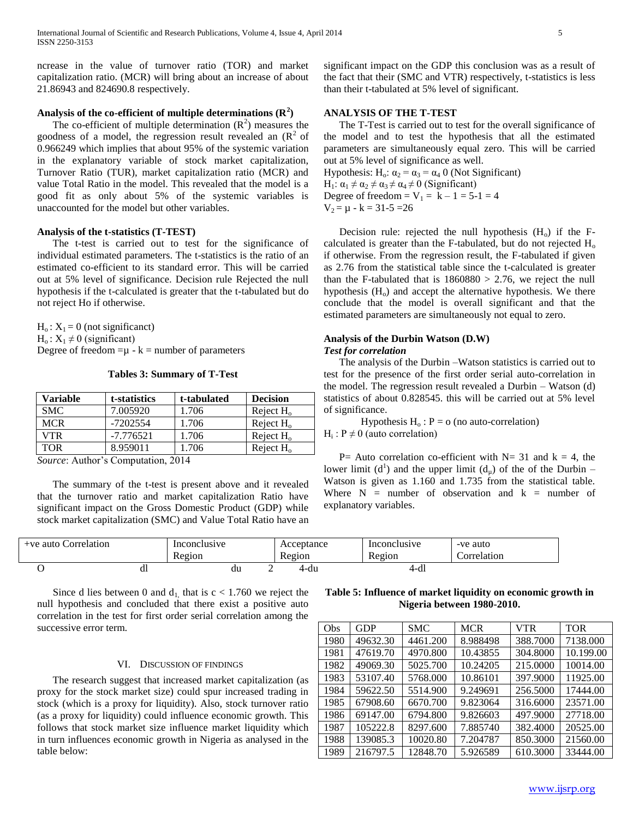ncrease in the value of turnover ratio (TOR) and market capitalization ratio. (MCR) will bring about an increase of about 21.86943 and 824690.8 respectively.

# **Analysis of the co-efficient of multiple determinations (R<sup>2</sup> )**

The co-efficient of multiple determination  $(R^2)$  measures the goodness of a model, the regression result revealed an  $(R^2$  of 0.966249 which implies that about 95% of the systemic variation in the explanatory variable of stock market capitalization, Turnover Ratio (TUR), market capitalization ratio (MCR) and value Total Ratio in the model. This revealed that the model is a good fit as only about 5% of the systemic variables is unaccounted for the model but other variables.

# **Analysis of the t-statistics (T-TEST)**

 The t-test is carried out to test for the significance of individual estimated parameters. The t-statistics is the ratio of an estimated co-efficient to its standard error. This will be carried out at 5% level of significance. Decision rule Rejected the null hypothesis if the t-calculated is greater that the t-tabulated but do not reject Ho if otherwise.

 $H_0$ :  $X_1 = 0$  (not significanct)  $H_0$ :  $X_1 \neq 0$  (significant) Degree of freedom  $= \mu - k =$  number of parameters

**Tables 3: Summary of T-Test**

| Variable   | t-statistics | t-tabulated | <b>Decision</b> |
|------------|--------------|-------------|-----------------|
| <b>SMC</b> | 7.005920     | 1.706       | Reject $H_0$    |
| <b>MCR</b> | -7202554     | 1.706       | Reject $H_0$    |
| VTR        | $-7.776521$  | 1.706       | Reject $H_0$    |
| TOR        | 8.959011     | 1.706       | Reject $H_0$    |

*Source*: Author's Computation, 2014

 The summary of the t-test is present above and it revealed that the turnover ratio and market capitalization Ratio have significant impact on the Gross Domestic Product (GDP) while stock market capitalization (SMC) and Value Total Ratio have an significant impact on the GDP this conclusion was as a result of the fact that their (SMC and VTR) respectively, t-statistics is less than their t-tabulated at 5% level of significant.

# **ANALYSIS OF THE T-TEST**

 The T-Test is carried out to test for the overall significance of the model and to test the hypothesis that all the estimated parameters are simultaneously equal zero. This will be carried out at 5% level of significance as well.

Hypothesis: H<sub>o</sub>:  $\alpha_2 = \alpha_3 = \alpha_4$  0 (Not Significant) H<sub>1</sub>:  $\alpha_1 \neq \alpha_2 \neq \alpha_3 \neq \alpha_4 \neq 0$  (Significant) Degree of freedom =  $V_1 = k - 1 = 5-1 = 4$  $V_2 = \mu - k = 31 - 5 = 26$ 

Decision rule: rejected the null hypothesis  $(H_0)$  if the Fcalculated is greater than the F-tabulated, but do not rejected  $H_0$ if otherwise. From the regression result, the F-tabulated if given as 2.76 from the statistical table since the t-calculated is greater than the F-tabulated that is  $1860880 > 2.76$ , we reject the null hypothesis  $(H<sub>o</sub>)$  and accept the alternative hypothesis. We there conclude that the model is overall significant and that the estimated parameters are simultaneously not equal to zero.

# **Analysis of the Durbin Watson (D.W)**

# *Test for correlation*

 The analysis of the Durbin –Watson statistics is carried out to test for the presence of the first order serial auto-correlation in the model. The regression result revealed a Durbin – Watson (d) statistics of about 0.828545. this will be carried out at 5% level of significance.

Hypothesis  $H_0$ :  $P = o$  (no auto-correlation)  $H_i$ :  $P \neq 0$  (auto correlation)

P = Auto correlation co-efficient with N = 31 and  $k = 4$ , the lower limit (d<sup>1</sup>) and the upper limit (d<sub>µ</sub>) of the of the Durbin – Watson is given as 1.160 and 1.735 from the statistical table. Where  $N =$  number of observation and  $k =$  number of explanatory variables.

| +ve auto Correlation |    | Inconclusive<br>Region |   | Acceptance<br>Region | Inconclusive<br>r<br>Region | -ve auto<br>Correlation |
|----------------------|----|------------------------|---|----------------------|-----------------------------|-------------------------|
|                      | dl | du                     | ∼ | 4-du                 | $4-d_1$                     |                         |

Since d lies between 0 and  $d_1$ , that is  $c < 1.760$  we reject the null hypothesis and concluded that there exist a positive auto correlation in the test for first order serial correlation among the successive error term.

# VI. DISCUSSION OF FINDINGS

 The research suggest that increased market capitalization (as proxy for the stock market size) could spur increased trading in stock (which is a proxy for liquidity). Also, stock turnover ratio (as a proxy for liquidity) could influence economic growth. This follows that stock market size influence market liquidity which in turn influences economic growth in Nigeria as analysed in the table below:

**Table 5: Influence of market liquidity on economic growth in Nigeria between 1980-2010.**

| Obs  | GDP      | <b>SMC</b> | <b>MCR</b> | <b>VTR</b> | <b>TOR</b> |
|------|----------|------------|------------|------------|------------|
| 1980 | 49632.30 | 4461.200   | 8.988498   | 388.7000   | 7138.000   |
| 1981 | 47619.70 | 4970.800   | 10.43855   | 304.8000   | 10.199.00  |
| 1982 | 49069.30 | 5025.700   | 10.24205   | 215,0000   | 10014.00   |
| 1983 | 53107.40 | 5768.000   | 10.86101   | 397.9000   | 11925.00   |
| 1984 | 59622.50 | 5514.900   | 9.249691   | 256.5000   | 17444.00   |
| 1985 | 67908.60 | 6670.700   | 9.823064   | 316.6000   | 23571.00   |
| 1986 | 69147.00 | 6794.800   | 9.826603   | 497.9000   | 27718.00   |
| 1987 | 105222.8 | 8297.600   | 7.885740   | 382.4000   | 20525.00   |
| 1988 | 139085.3 | 10020.80   | 7.204787   | 850.3000   | 21560.00   |
| 1989 | 216797.5 | 12848.70   | 5.926589   | 610.3000   | 33444.00   |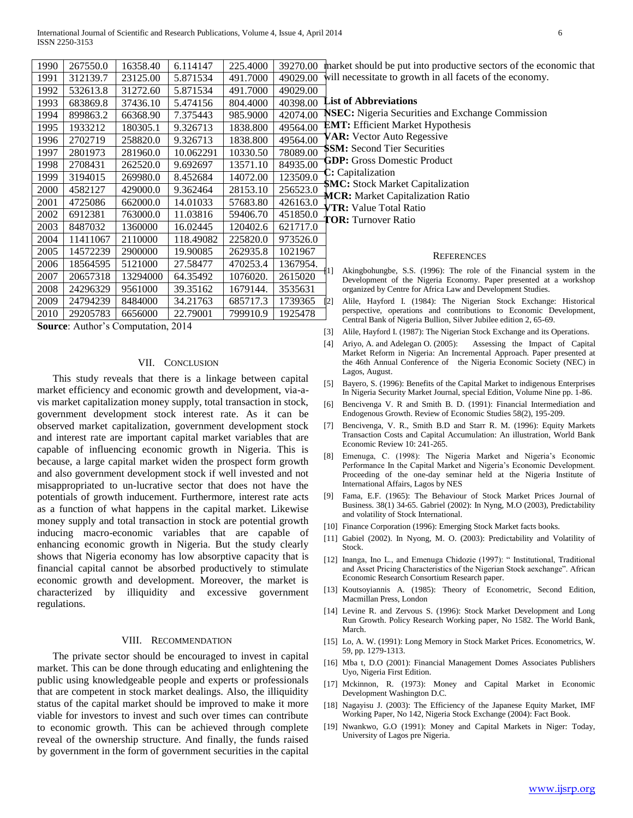| 1990 | 267550.0 | 16358.40 | 6.114147  | 225.4000 | 39270.00 | mark             |
|------|----------|----------|-----------|----------|----------|------------------|
| 1991 | 312139.7 | 23125.00 | 5.871534  | 491.7000 | 49029.00 | will :           |
| 1992 | 532613.8 | 31272.60 | 5.871534  | 491.7000 | 49029.00 |                  |
| 1993 | 683869.8 | 37436.10 | 5.474156  | 804.4000 | 40398.00 | List             |
| 1994 | 899863.2 | 66368.90 | 7.375443  | 985.9000 | 42074.00 | NSE              |
| 1995 | 1933212  | 180305.1 | 9.326713  | 1838.800 | 49564.00 | EM'              |
| 1996 | 2702719  | 258820.0 | 9.326713  | 1838.800 | 49564.00 | VAF              |
| 1997 | 2801973  | 281960.0 | 10.062291 | 10330.50 | 78089.00 | <b>SSM</b>       |
| 1998 | 2708431  | 262520.0 | 9.692697  | 13571.10 | 84935.00 | GDI              |
| 1999 | 3194015  | 269980.0 | 8.452684  | 14072.00 | 123509.0 | C: C             |
| 2000 | 4582127  | 429000.0 | 9.362464  | 28153.10 | 256523.0 | SM (             |
| 2001 | 4725086  | 662000.0 | 14.01033  | 57683.80 | 426163.0 | MCl<br>VTR       |
| 2002 | 6912381  | 763000.0 | 11.03816  | 59406.70 | 451850.0 | TOF              |
| 2003 | 8487032  | 1360000  | 16.02445  | 120402.6 | 621717.0 |                  |
| 2004 | 11411067 | 2110000  | 118.49082 | 225820.0 | 973526.0 |                  |
| 2005 | 14572239 | 2900000  | 19.90085  | 262935.8 | 1021967  |                  |
| 2006 | 18564595 | 5121000  | 27.58477  | 470253.4 | 1367954. |                  |
| 2007 | 20657318 | 13294000 | 64.35492  | 1076020. | 2615020  | 11               |
| 2008 | 24296329 | 9561000  | 39.35162  | 1679144. | 3535631  |                  |
| 2009 | 24794239 | 8484000  | 34.21763  | 685717.3 | 1739365  | $\left[2\right]$ |
| 2010 | 29205783 | 6656000  | 22.79001  | 799910.9 | 1925478  |                  |
|      |          |          |           |          |          |                  |

**Source**: Author's Computation, 2014

# VII. CONCLUSION

 This study reveals that there is a linkage between capital market efficiency and economic growth and development, via-avis market capitalization money supply, total transaction in stock, government development stock interest rate. As it can be observed market capitalization, government development stock and interest rate are important capital market variables that are capable of influencing economic growth in Nigeria. This is because, a large capital market widen the prospect form growth and also government development stock if well invested and not misappropriated to un-lucrative sector that does not have the potentials of growth inducement. Furthermore, interest rate acts as a function of what happens in the capital market. Likewise money supply and total transaction in stock are potential growth inducing macro-economic variables that are capable of enhancing economic growth in Nigeria. But the study clearly shows that Nigeria economy has low absorptive capacity that is financial capital cannot be absorbed productively to stimulate economic growth and development. Moreover, the market is characterized by illiquidity and excessive government regulations.

# VIII. RECOMMENDATION

 The private sector should be encouraged to invest in capital market. This can be done through educating and enlightening the public using knowledgeable people and experts or professionals that are competent in stock market dealings. Also, the illiquidity status of the capital market should be improved to make it more viable for investors to invest and such over times can contribute to economic growth. This can be achieved through complete reveal of the ownership structure. And finally, the funds raised by government in the form of government securities in the capital

ret should be put into productive sectors of the economic that necessitate to growth in all facets of the economy.

**List of Abbreviations** 

**C:** Nigeria Securities and Exchange Commission **F:** Efficient Market Hypothesis

**R:** Vector Auto Regessive

**I:** Second Tier Securities

**P:** Gross Domestic Product

**C:** Capitalization

**S: Stock Market Capitalization** 

**R:** Market Capitalization Ratio

**R:** Value Total Ratio

**R:** Turnover Ratio

### **REFERENCES**

- Akingbohungbe, S.S. (1996): The role of the Financial system in the Development of the Nigeria Economy. Paper presented at a workshop organized by Centre for Africa Law and Development Studies.
- [2] Alile, Hayford I. (1984): The Nigerian Stock Exchange: Historical perspective, operations and contributions to Economic Development, Central Bank of Nigeria Bullion, Silver Jubilee edition 2, 65-69.
- [3] Alile, Hayford I. (1987): The Nigerian Stock Exchange and its Operations.
- [4] Ariyo, A. and Adelegan O. (2005): Assessing the Impact of Capital Market Reform in Nigeria: An Incremental Approach. Paper presented at the 46th Annual Conference of the Nigeria Economic Society (NEC) in Lagos, August.
- [5] Bayero, S. (1996): Benefits of the Capital Market to indigenous Enterprises In Nigeria Security Market Journal, special Edition, Volume Nine pp. 1-86.
- [6] Bencivenga V. R and Smith B. D. (1991): Financial Intermediation and Endogenous Growth. Review of Economic Studies 58(2), 195-209.
- [7] Bencivenga, V. R., Smith B.D and Starr R. M. (1996): Equity Markets Transaction Costs and Capital Accumulation: An illustration, World Bank Economic Review 10: 241-265.
- [8] Emenuga, C. (1998): The Nigeria Market and Nigeria's Economic Performance In the Capital Market and Nigeria's Economic Development. Proceeding of the one-day seminar held at the Nigeria Institute of International Affairs, Lagos by NES
- [9] Fama, E.F. (1965): The Behaviour of Stock Market Prices Journal of Business. 38(1) 34-65. Gabriel (2002): In Nyng, M.O (2003), Predictability and volatility of Stock International.
- [10] Finance Corporation (1996): Emerging Stock Market facts books.
- [11] Gabiel (2002). In Nyong, M. O. (2003): Predictability and Volatility of Stock.
- [12] Inanga, Ino L., and Emenuga Chidozie (1997): "Institutional, Traditional and Asset Pricing Characteristics of the Nigerian Stock aexchange". African Economic Research Consortium Research paper.
- [13] Koutsoyiannis A. (1985): Theory of Econometric, Second Edition, Macmillan Press, London
- [14] Levine R. and Zervous S. (1996): Stock Market Development and Long Run Growth. Policy Research Working paper, No 1582. The World Bank, March.
- [15] Lo, A. W. (1991): Long Memory in Stock Market Prices. Econometrics, W. 59, pp. 1279-1313.
- [16] Mba t, D.O (2001): Financial Management Domes Associates Publishers Uyo, Nigeria First Edition.
- [17] Mckinnon, R. (1973): Money and Capital Market in Economic Development Washington D.C.
- [18] Nagayisu J. (2003): The Efficiency of the Japanese Equity Market, IMF Working Paper, No 142, Nigeria Stock Exchange (2004): Fact Book.
- [19] Nwankwo, G.O (1991): Money and Capital Markets in Niger: Today, University of Lagos pre Nigeria.